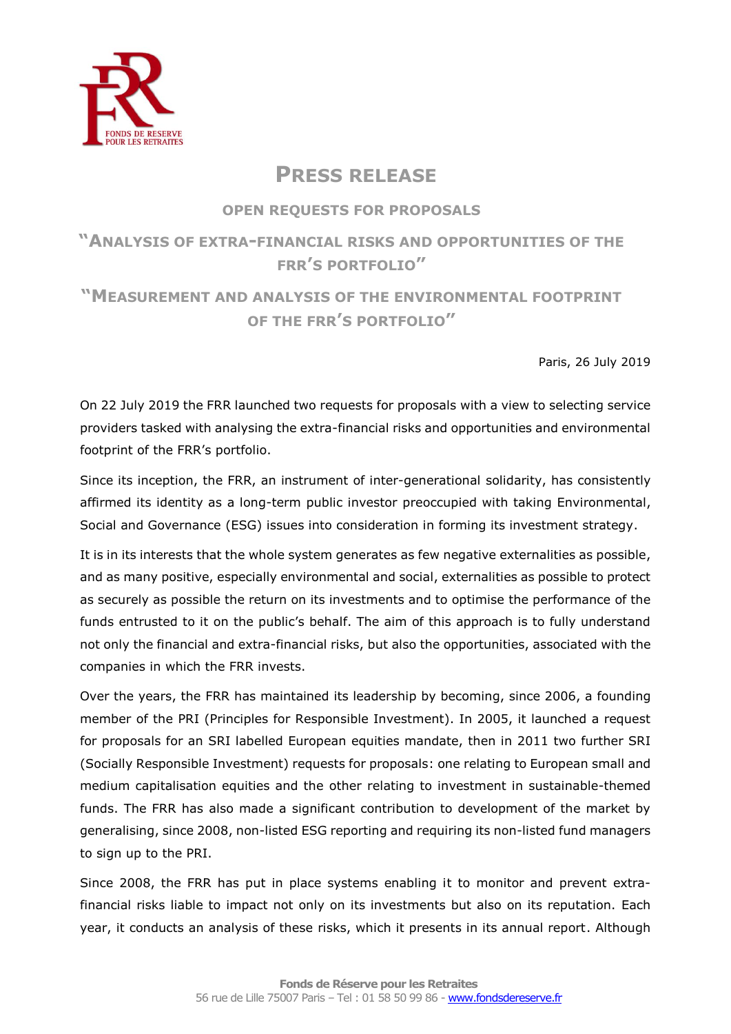

## **PRESS RELEASE**

## **OPEN REQUESTS FOR PROPOSALS**

## **"ANALYSIS OF EXTRA-FINANCIAL RISKS AND OPPORTUNITIES OF THE FRR'S PORTFOLIO"**

## **"MEASUREMENT AND ANALYSIS OF THE ENVIRONMENTAL FOOTPRINT OF THE FRR'S PORTFOLIO"**

Paris, 26 July 2019

On 22 July 2019 the FRR launched two requests for proposals with a view to selecting service providers tasked with analysing the extra-financial risks and opportunities and environmental footprint of the FRR's portfolio.

Since its inception, the FRR, an instrument of inter-generational solidarity, has consistently affirmed its identity as a long-term public investor preoccupied with taking Environmental, Social and Governance (ESG) issues into consideration in forming its investment strategy.

It is in its interests that the whole system generates as few negative externalities as possible, and as many positive, especially environmental and social, externalities as possible to protect as securely as possible the return on its investments and to optimise the performance of the funds entrusted to it on the public's behalf. The aim of this approach is to fully understand not only the financial and extra-financial risks, but also the opportunities, associated with the companies in which the FRR invests.

Over the years, the FRR has maintained its leadership by becoming, since 2006, a founding member of the PRI (Principles for Responsible Investment). In 2005, it launched a request for proposals for an SRI labelled European equities mandate, then in 2011 two further SRI (Socially Responsible Investment) requests for proposals: one relating to European small and medium capitalisation equities and the other relating to investment in sustainable-themed funds. The FRR has also made a significant contribution to development of the market by generalising, since 2008, non-listed ESG reporting and requiring its non-listed fund managers to sign up to the PRI.

Since 2008, the FRR has put in place systems enabling it to monitor and prevent extrafinancial risks liable to impact not only on its investments but also on its reputation. Each year, it conducts an analysis of these risks, which it presents in its annual report. Although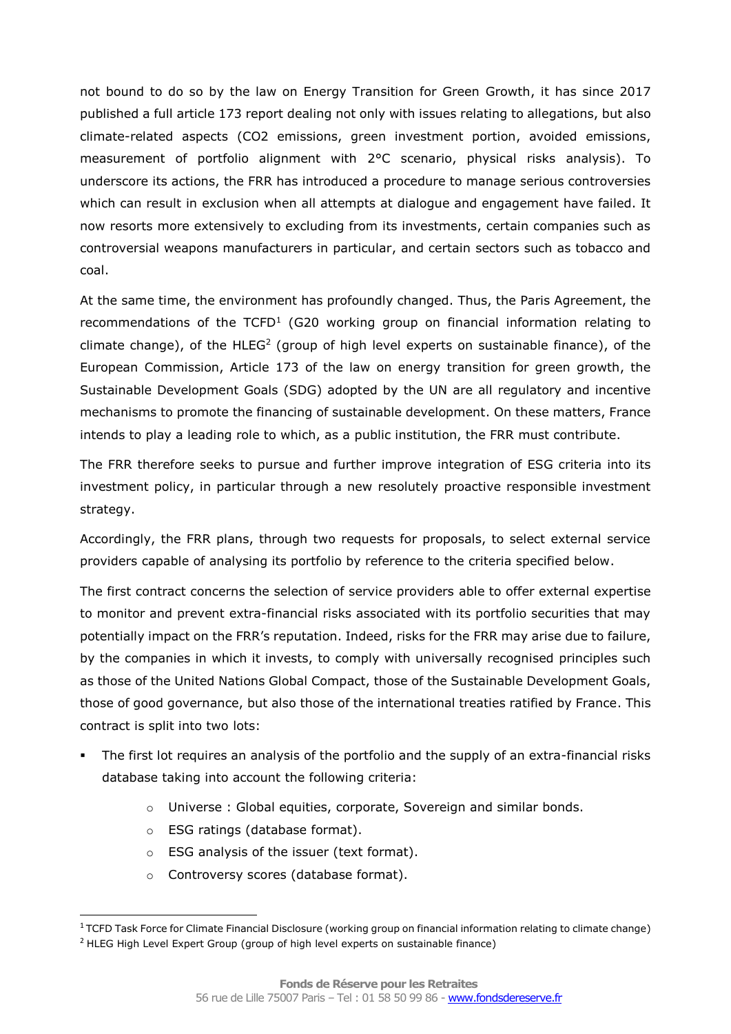not bound to do so by the law on Energy Transition for Green Growth, it has since 2017 published a full article 173 report dealing not only with issues relating to allegations, but also climate-related aspects (CO2 emissions, green investment portion, avoided emissions, measurement of portfolio alignment with 2°C scenario, physical risks analysis). To underscore its actions, the FRR has introduced a procedure to manage serious controversies which can result in exclusion when all attempts at dialogue and engagement have failed. It now resorts more extensively to excluding from its investments, certain companies such as controversial weapons manufacturers in particular, and certain sectors such as tobacco and coal.

At the same time, the environment has profoundly changed. Thus, the Paris Agreement, the recommendations of the  $\text{TCP}^1$  (G20 working group on financial information relating to climate change), of the  $HLEG<sup>2</sup>$  (group of high level experts on sustainable finance), of the European Commission, Article 173 of the law on energy transition for green growth, the Sustainable Development Goals (SDG) adopted by the UN are all regulatory and incentive mechanisms to promote the financing of sustainable development. On these matters, France intends to play a leading role to which, as a public institution, the FRR must contribute.

The FRR therefore seeks to pursue and further improve integration of ESG criteria into its investment policy, in particular through a new resolutely proactive responsible investment strategy.

Accordingly, the FRR plans, through two requests for proposals, to select external service providers capable of analysing its portfolio by reference to the criteria specified below.

The first contract concerns the selection of service providers able to offer external expertise to monitor and prevent extra-financial risks associated with its portfolio securities that may potentially impact on the FRR's reputation. Indeed, risks for the FRR may arise due to failure, by the companies in which it invests, to comply with universally recognised principles such as those of the United Nations Global Compact, those of the Sustainable Development Goals, those of good governance, but also those of the international treaties ratified by France. This contract is split into two lots:

- The first lot requires an analysis of the portfolio and the supply of an extra-financial risks database taking into account the following criteria:
	- o Universe : Global equities, corporate, Sovereign and similar bonds.
	- o ESG ratings (database format).

l

- o ESG analysis of the issuer (text format).
- o Controversy scores (database format).

 $1$ TCFD Task Force for Climate Financial Disclosure (working group on financial information relating to climate change) <sup>2</sup> HLEG High Level Expert Group (group of high level experts on sustainable finance)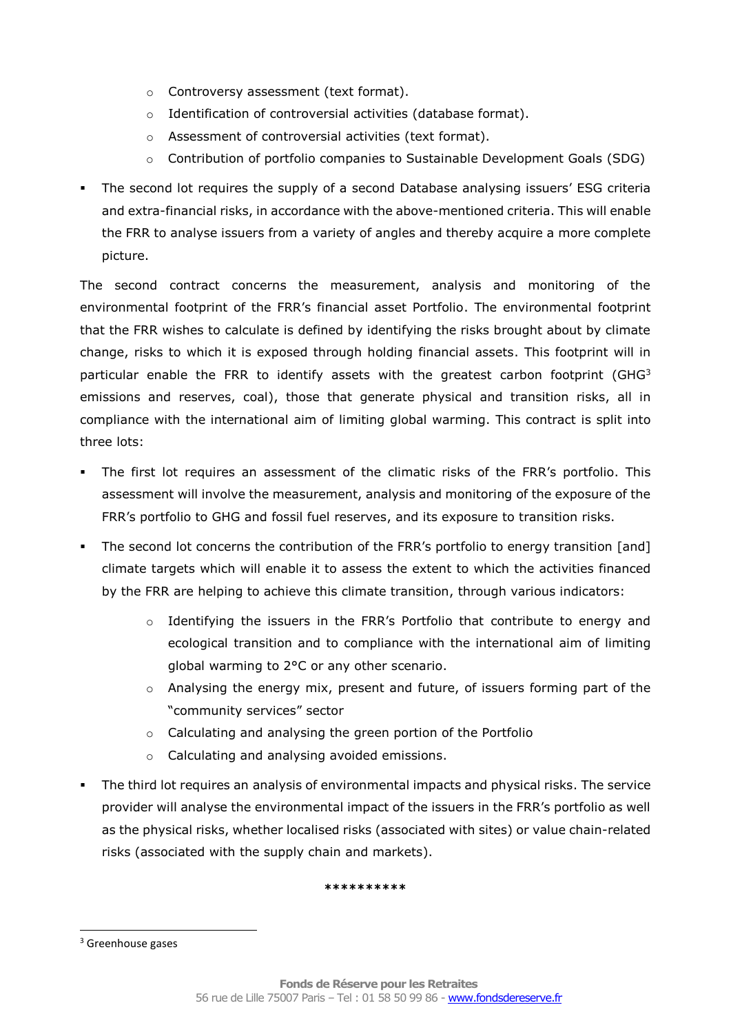- o Controversy assessment (text format).
- o Identification of controversial activities (database format).
- o Assessment of controversial activities (text format).
- o Contribution of portfolio companies to Sustainable Development Goals (SDG)
- **•** The second lot requires the supply of a second Database analysing issuers' ESG criteria and extra-financial risks, in accordance with the above-mentioned criteria. This will enable the FRR to analyse issuers from a variety of angles and thereby acquire a more complete picture.

The second contract concerns the measurement, analysis and monitoring of the environmental footprint of the FRR's financial asset Portfolio. The environmental footprint that the FRR wishes to calculate is defined by identifying the risks brought about by climate change, risks to which it is exposed through holding financial assets. This footprint will in particular enable the FRR to identify assets with the greatest carbon footprint (GHG $3$ ) emissions and reserves, coal), those that generate physical and transition risks, all in compliance with the international aim of limiting global warming. This contract is split into three lots:

- The first lot requires an assessment of the climatic risks of the FRR's portfolio. This assessment will involve the measurement, analysis and monitoring of the exposure of the FRR's portfolio to GHG and fossil fuel reserves, and its exposure to transition risks.
- The second lot concerns the contribution of the FRR's portfolio to energy transition [and] climate targets which will enable it to assess the extent to which the activities financed by the FRR are helping to achieve this climate transition, through various indicators:
	- $\circ$  Identifying the issuers in the FRR's Portfolio that contribute to energy and ecological transition and to compliance with the international aim of limiting global warming to 2°C or any other scenario.
	- $\circ$  Analysing the energy mix, present and future, of issuers forming part of the "community services" sector
	- o Calculating and analysing the green portion of the Portfolio
	- o Calculating and analysing avoided emissions.
- The third lot requires an analysis of environmental impacts and physical risks. The service provider will analyse the environmental impact of the issuers in the FRR's portfolio as well as the physical risks, whether localised risks (associated with sites) or value chain-related risks (associated with the supply chain and markets).

**\*\*\*\*\*\*\*\*\*\***

l

<sup>&</sup>lt;sup>3</sup> Greenhouse gases